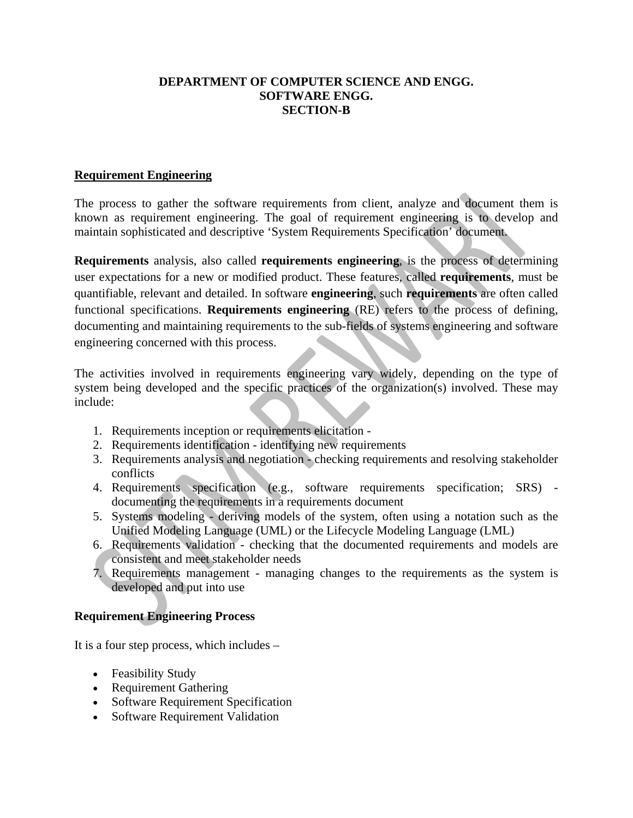## **DEPARTMENT OF COMPUTER SCIENCE AND ENGG. SOFTWARE ENGG. SECTION-B**

## **Requirement Engineering**

The process to gather the software requirements from client, analyze and document them is known as requirement engineering. The goal of requirement engineering is to develop and maintain sophisticated and descriptive 'System Requirements Specification' document.

**Requirements** analysis, also called **requirements engineering**, is the process of determining user expectations for a new or modified product. These features, called **requirements**, must be quantifiable, relevant and detailed. In software **engineering**, such **requirements** are often called functional specifications. **Requirements engineering** (RE) refers to the process of defining, documenting and maintaining requirements to the sub-fields of systems engineering and software engineering concerned with this process.

The activities involved in requirements engineering vary widely, depending on the type of system being developed and the specific practices of the organization(s) involved. These may include:

- 1. Requirements inception or requirements elicitation -
- 2. Requirements identification identifying new requirements
- 3. Requirements analysis and negotiation checking requirements and resolving stakeholder conflicts
- 4. Requirements specification (e.g., software requirements specification; SRS) documenting the requirements in a requirements document
- 5. Systems modeling deriving models of the system, often using a notation such as the Unified Modeling Language (UML) or the Lifecycle Modeling Language (LML)
- 6. Requirements validation checking that the documented requirements and models are consistent and meet stakeholder needs
- 7. Requirements management managing changes to the requirements as the system is developed and put into use

## **Requirement Engineering Process**

It is a four step process, which includes –

- Feasibility Study
- Requirement Gathering
- Software Requirement Specification
- Software Requirement Validation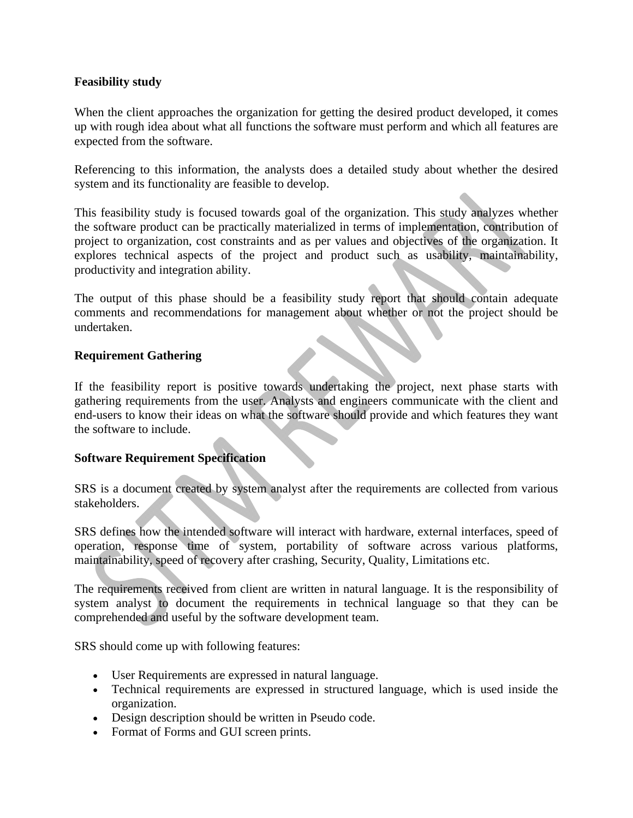## **Feasibility study**

When the client approaches the organization for getting the desired product developed, it comes up with rough idea about what all functions the software must perform and which all features are expected from the software.

Referencing to this information, the analysts does a detailed study about whether the desired system and its functionality are feasible to develop.

This feasibility study is focused towards goal of the organization. This study analyzes whether the software product can be practically materialized in terms of implementation, contribution of project to organization, cost constraints and as per values and objectives of the organization. It explores technical aspects of the project and product such as usability, maintainability, productivity and integration ability.

The output of this phase should be a feasibility study report that should contain adequate comments and recommendations for management about whether or not the project should be undertaken.

#### **Requirement Gathering**

If the feasibility report is positive towards undertaking the project, next phase starts with gathering requirements from the user. Analysts and engineers communicate with the client and end-users to know their ideas on what the software should provide and which features they want the software to include.

#### **Software Requirement Specification**

SRS is a document created by system analyst after the requirements are collected from various stakeholders.

SRS defines how the intended software will interact with hardware, external interfaces, speed of operation, response time of system, portability of software across various platforms, maintainability, speed of recovery after crashing, Security, Quality, Limitations etc.

The requirements received from client are written in natural language. It is the responsibility of system analyst to document the requirements in technical language so that they can be comprehended and useful by the software development team.

SRS should come up with following features:

- User Requirements are expressed in natural language.
- Technical requirements are expressed in structured language, which is used inside the organization.
- Design description should be written in Pseudo code.
- Format of Forms and GUI screen prints.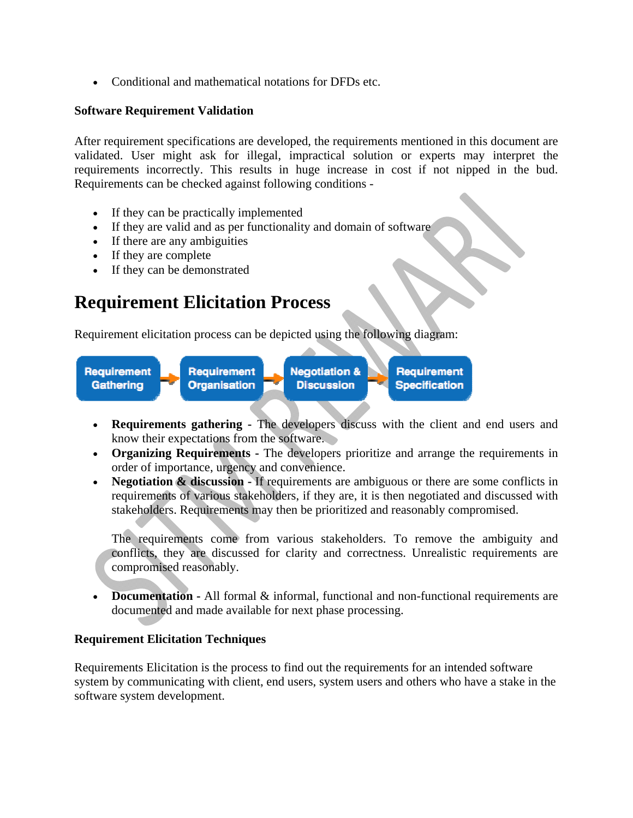Conditional and mathematical notations for DFDs etc.

#### **Software Requirement Validation**

After requirement specifications are developed, the requirements mentioned in this document are validated. User might ask for illegal, impractical solution or experts may interpret the requirements incorrectly. This results in huge increase in cost if not nipped in the bud. Requirements can be checked against following conditions -

- If they can be practically implemented
- If they are valid and as per functionality and domain of software
- If there are any ambiguities
- If they are complete
- If they can be demonstrated

# **Requirement Elicitation Process**

Requirement elicitation process can be depicted using the following diagram:



- **Requirements gathering** The developers discuss with the client and end users and know their expectations from the software.
- **Organizing Requirements** The developers prioritize and arrange the requirements in order of importance, urgency and convenience.
- **Negotiation & discussion** If requirements are ambiguous or there are some conflicts in requirements of various stakeholders, if they are, it is then negotiated and discussed with stakeholders. Requirements may then be prioritized and reasonably compromised.

The requirements come from various stakeholders. To remove the ambiguity and conflicts, they are discussed for clarity and correctness. Unrealistic requirements are compromised reasonably.

**Documentation -** All formal & informal, functional and non-functional requirements are documented and made available for next phase processing.

## **Requirement Elicitation Techniques**

Requirements Elicitation is the process to find out the requirements for an intended software system by communicating with client, end users, system users and others who have a stake in the software system development.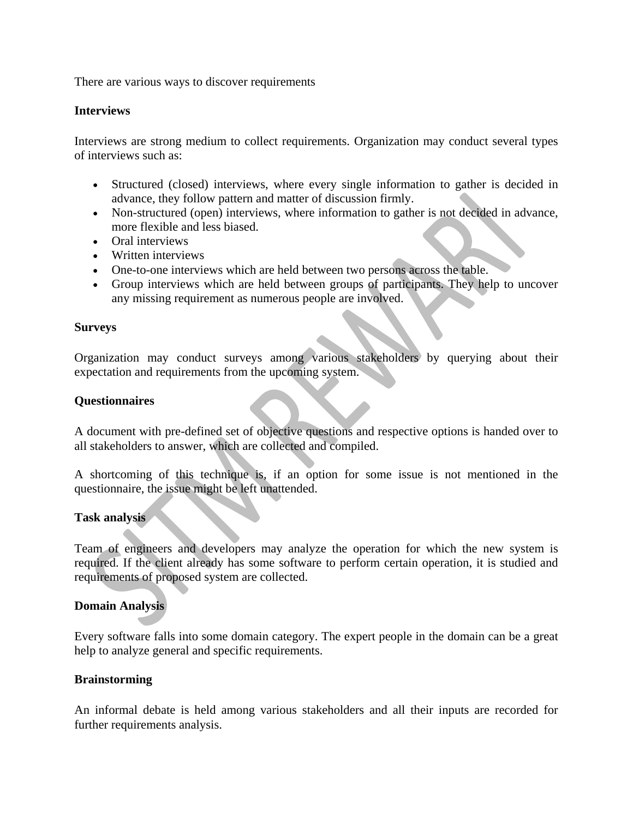There are various ways to discover requirements

#### **Interviews**

Interviews are strong medium to collect requirements. Organization may conduct several types of interviews such as:

- Structured (closed) interviews, where every single information to gather is decided in advance, they follow pattern and matter of discussion firmly.
- Non-structured (open) interviews, where information to gather is not decided in advance, more flexible and less biased.
- Oral interviews
- Written interviews
- One-to-one interviews which are held between two persons across the table.
- Group interviews which are held between groups of participants. They help to uncover any missing requirement as numerous people are involved.

#### **Surveys**

Organization may conduct surveys among various stakeholders by querying about their expectation and requirements from the upcoming system.

#### **Questionnaires**

A document with pre-defined set of objective questions and respective options is handed over to all stakeholders to answer, which are collected and compiled.

A shortcoming of this technique is, if an option for some issue is not mentioned in the questionnaire, the issue might be left unattended.

#### **Task analysis**

Team of engineers and developers may analyze the operation for which the new system is required. If the client already has some software to perform certain operation, it is studied and requirements of proposed system are collected.

#### **Domain Analysis**

Every software falls into some domain category. The expert people in the domain can be a great help to analyze general and specific requirements.

#### **Brainstorming**

An informal debate is held among various stakeholders and all their inputs are recorded for further requirements analysis.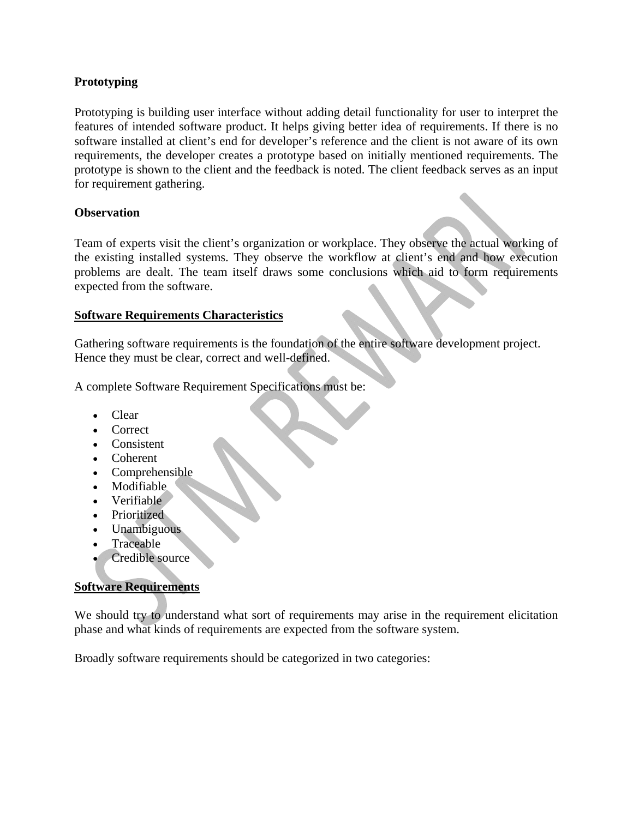## **Prototyping**

Prototyping is building user interface without adding detail functionality for user to interpret the features of intended software product. It helps giving better idea of requirements. If there is no software installed at client's end for developer's reference and the client is not aware of its own requirements, the developer creates a prototype based on initially mentioned requirements. The prototype is shown to the client and the feedback is noted. The client feedback serves as an input for requirement gathering.

## **Observation**

Team of experts visit the client's organization or workplace. They observe the actual working of the existing installed systems. They observe the workflow at client's end and how execution problems are dealt. The team itself draws some conclusions which aid to form requirements expected from the software.

#### **Software Requirements Characteristics**

Gathering software requirements is the foundation of the entire software development project. Hence they must be clear, correct and well-defined.

A complete Software Requirement Specifications must be:

- Clear
- Correct
- Consistent
- Coherent
- Comprehensible
- Modifiable
- Verifiable
- Prioritized
- Unambiguous
- Traceable
- Credible source

#### **Software Requirements**

We should try to understand what sort of requirements may arise in the requirement elicitation phase and what kinds of requirements are expected from the software system.

Broadly software requirements should be categorized in two categories: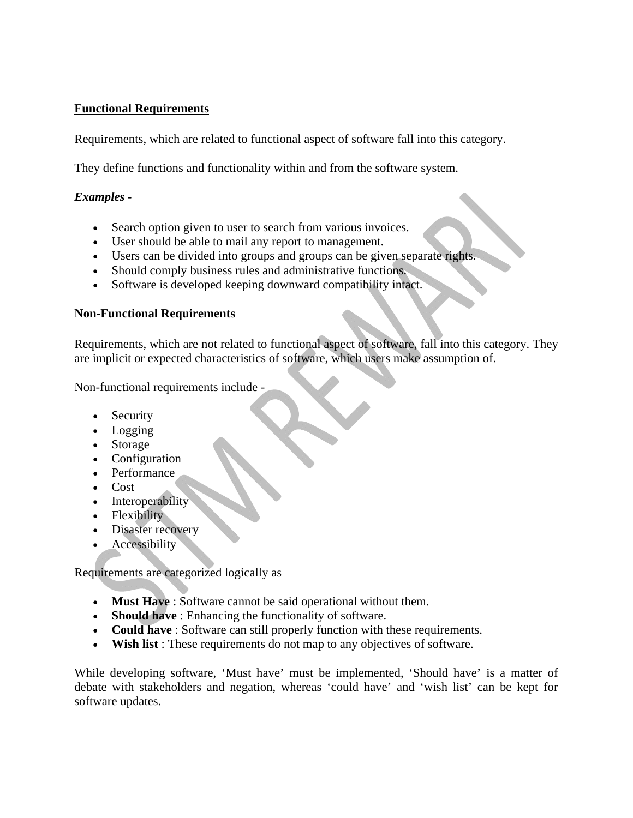## **Functional Requirements**

Requirements, which are related to functional aspect of software fall into this category.

They define functions and functionality within and from the software system.

## *Examples -*

- Search option given to user to search from various invoices.
- User should be able to mail any report to management.
- Users can be divided into groups and groups can be given separate rights.
- Should comply business rules and administrative functions.
- Software is developed keeping downward compatibility intact.

#### **Non-Functional Requirements**

Requirements, which are not related to functional aspect of software, fall into this category. They are implicit or expected characteristics of software, which users make assumption of.

Non-functional requirements include -

- Security
- Logging
- Storage
- Configuration
- Performance
- Cost
- Interoperability
- Flexibility
- Disaster recovery
- Accessibility

Requirements are categorized logically as

- **Must Have** : Software cannot be said operational without them.
- **Should have** : Enhancing the functionality of software.
- **Could have** : Software can still properly function with these requirements.
- **Wish list** : These requirements do not map to any objectives of software.

While developing software, 'Must have' must be implemented, 'Should have' is a matter of debate with stakeholders and negation, whereas 'could have' and 'wish list' can be kept for software updates.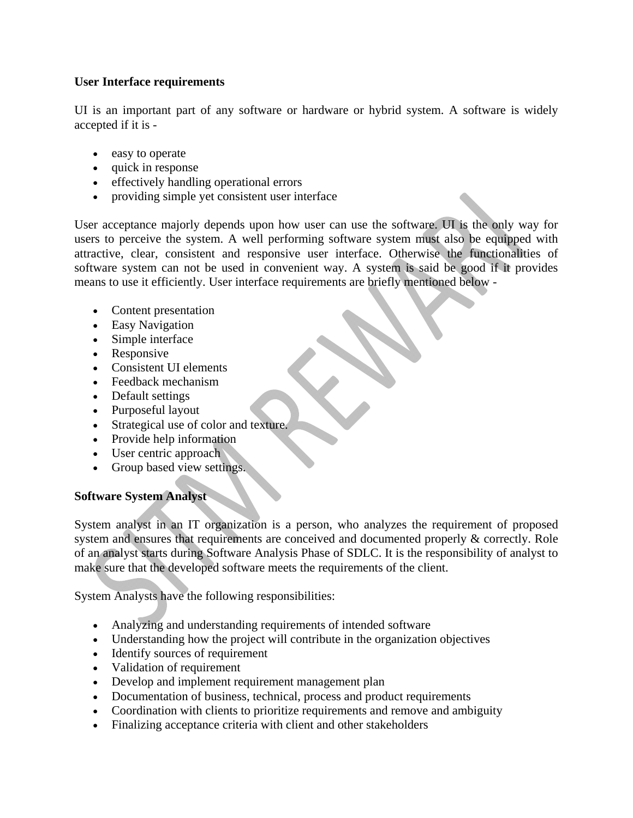## **User Interface requirements**

UI is an important part of any software or hardware or hybrid system. A software is widely accepted if it is -

- easy to operate
- quick in response
- effectively handling operational errors
- providing simple yet consistent user interface

User acceptance majorly depends upon how user can use the software. UI is the only way for users to perceive the system. A well performing software system must also be equipped with attractive, clear, consistent and responsive user interface. Otherwise the functionalities of software system can not be used in convenient way. A system is said be good if it provides means to use it efficiently. User interface requirements are briefly mentioned below -

- Content presentation
- Easy Navigation
- Simple interface
- Responsive
- Consistent UI elements
- Feedback mechanism
- Default settings
- Purposeful layout
- Strategical use of color and texture.
- Provide help information
- User centric approach
- Group based view settings.

## **Software System Analyst**

System analyst in an IT organization is a person, who analyzes the requirement of proposed system and ensures that requirements are conceived and documented properly & correctly. Role of an analyst starts during Software Analysis Phase of SDLC. It is the responsibility of analyst to make sure that the developed software meets the requirements of the client.

System Analysts have the following responsibilities:

- Analyzing and understanding requirements of intended software
- Understanding how the project will contribute in the organization objectives
- Identify sources of requirement
- Validation of requirement
- Develop and implement requirement management plan
- Documentation of business, technical, process and product requirements
- Coordination with clients to prioritize requirements and remove and ambiguity
- Finalizing acceptance criteria with client and other stakeholders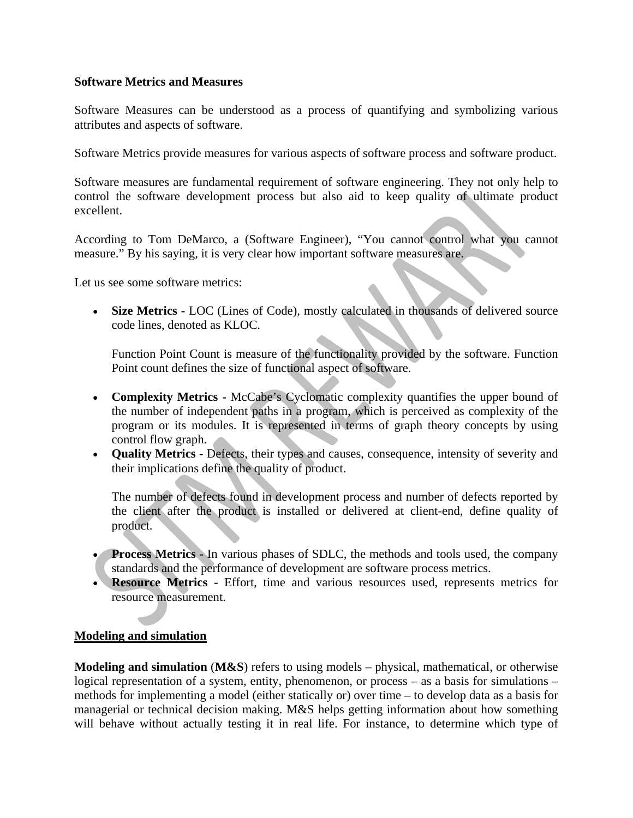#### **Software Metrics and Measures**

Software Measures can be understood as a process of quantifying and symbolizing various attributes and aspects of software.

Software Metrics provide measures for various aspects of software process and software product.

Software measures are fundamental requirement of software engineering. They not only help to control the software development process but also aid to keep quality of ultimate product excellent.

According to Tom DeMarco, a (Software Engineer), "You cannot control what you cannot measure." By his saying, it is very clear how important software measures are.

Let us see some software metrics:

• Size Metrics - LOC (Lines of Code), mostly calculated in thousands of delivered source code lines, denoted as KLOC.

Function Point Count is measure of the functionality provided by the software. Function Point count defines the size of functional aspect of software.

- **Complexity Metrics** McCabe's Cyclomatic complexity quantifies the upper bound of the number of independent paths in a program, which is perceived as complexity of the program or its modules. It is represented in terms of graph theory concepts by using control flow graph.
- **Quality Metrics -** Defects, their types and causes, consequence, intensity of severity and their implications define the quality of product.

The number of defects found in development process and number of defects reported by the client after the product is installed or delivered at client-end, define quality of product.

- **Process Metrics In various phases of SDLC, the methods and tools used, the company** standards and the performance of development are software process metrics.
- **Resource Metrics** Effort, time and various resources used, represents metrics for resource measurement.

## **Modeling and simulation**

**Modeling and simulation** (**M&S**) refers to using models – physical, mathematical, or otherwise logical representation of a system, entity, phenomenon, or process – as a basis for simulations – methods for implementing a model (either statically or) over time – to develop data as a basis for managerial or technical decision making. M&S helps getting information about how something will behave without actually testing it in real life. For instance, to determine which type of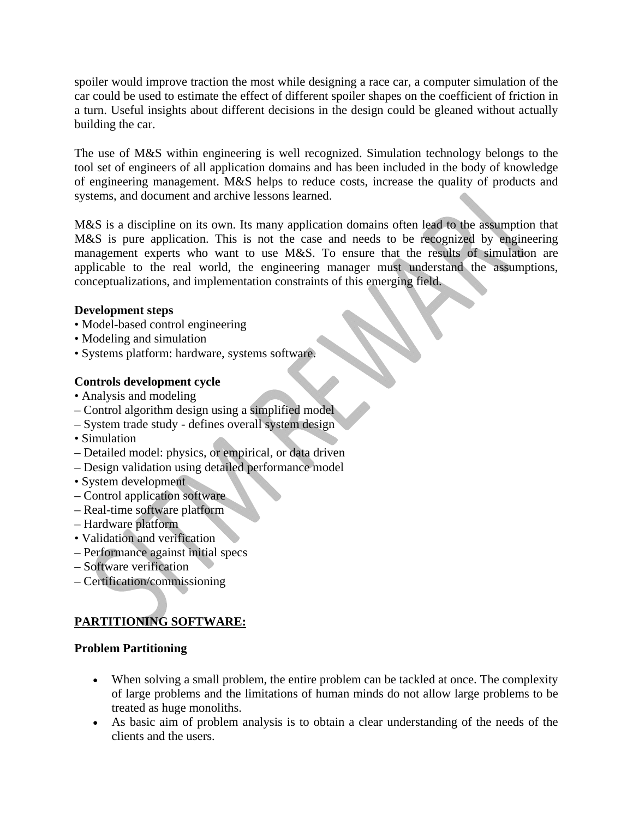spoiler would improve traction the most while designing a race car, a computer simulation of the car could be used to estimate the effect of different spoiler shapes on the coefficient of friction in a turn. Useful insights about different decisions in the design could be gleaned without actually building the car.

The use of M&S within engineering is well recognized. Simulation technology belongs to the tool set of engineers of all application domains and has been included in the body of knowledge of engineering management. M&S helps to reduce costs, increase the quality of products and systems, and document and archive lessons learned.

M&S is a discipline on its own. Its many application domains often lead to the assumption that M&S is pure application. This is not the case and needs to be recognized by engineering management experts who want to use M&S. To ensure that the results of simulation are applicable to the real world, the engineering manager must understand the assumptions, conceptualizations, and implementation constraints of this emerging field.

## **Development steps**

- Model-based control engineering
- Modeling and simulation
- Systems platform: hardware, systems software.

## **Controls development cycle**

- Analysis and modeling
- Control algorithm design using a simplified model
- System trade study defines overall system design
- Simulation
- Detailed model: physics, or empirical, or data driven
- Design validation using detailed performance model
- System development
- Control application software
- Real-time software platform
- Hardware platform
- Validation and verification
- Performance against initial specs
- Software verification
- Certification/commissioning

## **PARTITIONING SOFTWARE:**

#### **Problem Partitioning**

- When solving a small problem, the entire problem can be tackled at once. The complexity of large problems and the limitations of human minds do not allow large problems to be treated as huge monoliths.
- As basic aim of problem analysis is to obtain a clear understanding of the needs of the clients and the users.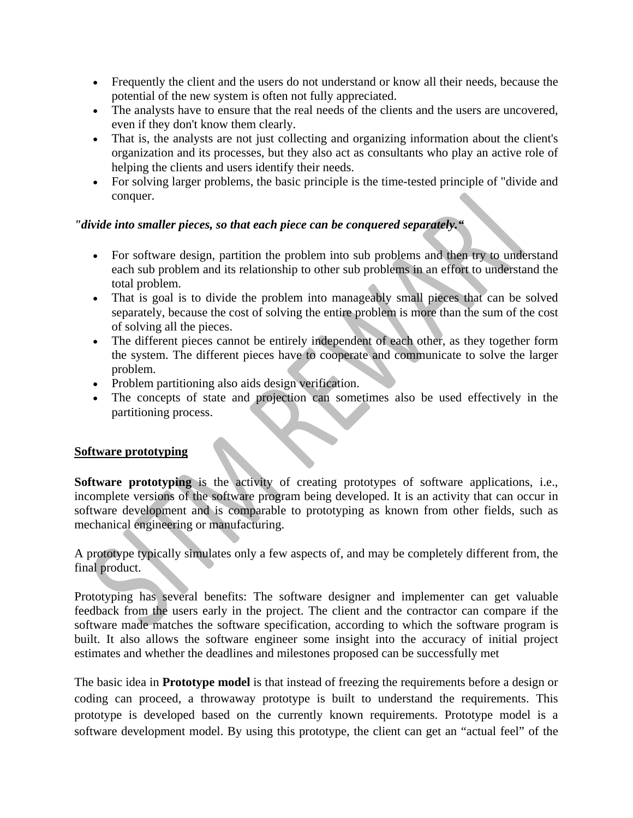- Frequently the client and the users do not understand or know all their needs, because the potential of the new system is often not fully appreciated.
- The analysts have to ensure that the real needs of the clients and the users are uncovered, even if they don't know them clearly.
- That is, the analysts are not just collecting and organizing information about the client's organization and its processes, but they also act as consultants who play an active role of helping the clients and users identify their needs.
- For solving larger problems, the basic principle is the time-tested principle of "divide and conquer.

## *"divide into smaller pieces, so that each piece can be conquered separately."*

- For software design, partition the problem into sub problems and then try to understand each sub problem and its relationship to other sub problems in an effort to understand the total problem.
- That is goal is to divide the problem into manageably small pieces that can be solved separately, because the cost of solving the entire problem is more than the sum of the cost of solving all the pieces.
- The different pieces cannot be entirely independent of each other, as they together form the system. The different pieces have to cooperate and communicate to solve the larger problem.
- Problem partitioning also aids design verification.
- The concepts of state and projection can sometimes also be used effectively in the partitioning process.

#### **Software prototyping**

**Software prototyping** is the activity of creating prototypes of software applications, i.e., incomplete versions of the software program being developed. It is an activity that can occur in software development and is comparable to prototyping as known from other fields, such as mechanical engineering or manufacturing.

A prototype typically simulates only a few aspects of, and may be completely different from, the final product.

Prototyping has several benefits: The software designer and implementer can get valuable feedback from the users early in the project. The client and the contractor can compare if the software made matches the software specification, according to which the software program is built. It also allows the software engineer some insight into the accuracy of initial project estimates and whether the deadlines and milestones proposed can be successfully met

The basic idea in **Prototype model** is that instead of freezing the requirements before a design or coding can proceed, a throwaway prototype is built to understand the requirements. This prototype is developed based on the currently known requirements. Prototype model is a software development model. By using this prototype, the client can get an "actual feel" of the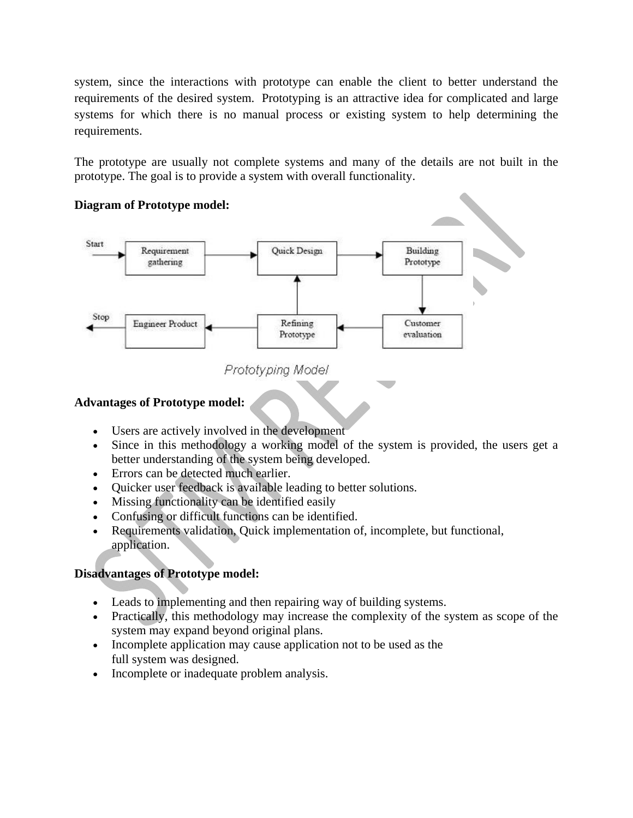system, since the interactions with prototype can enable the client to better understand the requirements of the desired system. Prototyping is an attractive idea for complicated and large systems for which there is no manual process or existing system to help determining the requirements.

The prototype are usually not complete systems and many of the details are not built in the prototype. The goal is to provide a system with overall functionality.



# **Advantages of Prototype model:**

- Users are actively involved in the development
- Since in this methodology a working model of the system is provided, the users get a better understanding of the system being developed.
- Errors can be detected much earlier.
- Quicker user feedback is available leading to better solutions.
- Missing functionality can be identified easily
- Confusing or difficult functions can be identified.
- Requirements validation, Quick implementation of, incomplete, but functional, application.

#### **Disadvantages of Prototype model:**

- Leads to implementing and then repairing way of building systems.
- Practically, this methodology may increase the complexity of the system as scope of the system may expand beyond original plans.
- Incomplete application may cause application not to be used as the full system was designed.
- Incomplete or inadequate problem analysis.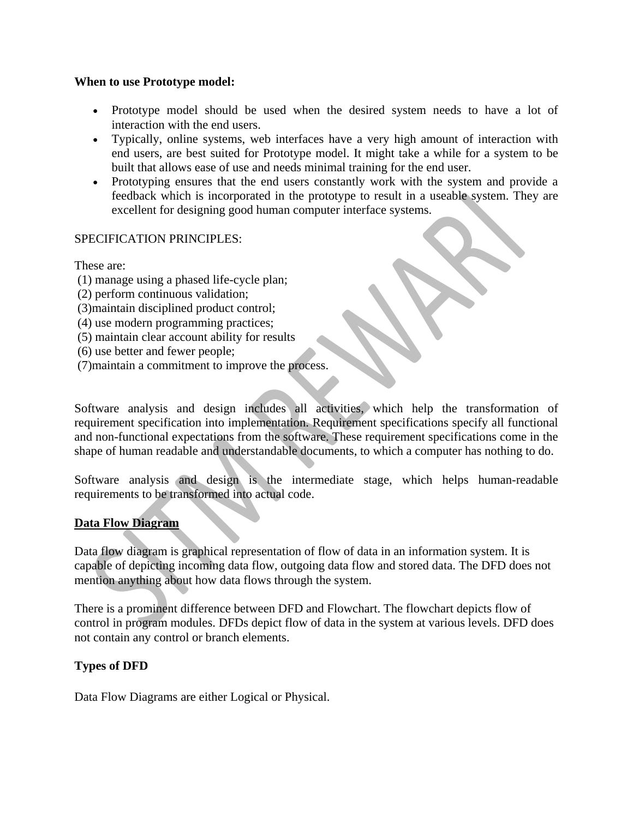#### **When to use Prototype model:**

- Prototype model should be used when the desired system needs to have a lot of interaction with the end users.
- Typically, online systems, web interfaces have a very high amount of interaction with end users, are best suited for Prototype model. It might take a while for a system to be built that allows ease of use and needs minimal training for the end user.
- Prototyping ensures that the end users constantly work with the system and provide a feedback which is incorporated in the prototype to result in a useable system. They are excellent for designing good human computer interface systems.

#### SPECIFICATION PRINCIPLES:

#### These are:

- (1) manage using a phased life-cycle plan;
- (2) perform continuous validation;
- (3)maintain disciplined product control;
- (4) use modern programming practices;
- (5) maintain clear account ability for results
- (6) use better and fewer people;
- (7)maintain a commitment to improve the process.

Software analysis and design includes all activities, which help the transformation of requirement specification into implementation. Requirement specifications specify all functional and non-functional expectations from the software. These requirement specifications come in the shape of human readable and understandable documents, to which a computer has nothing to do.

Software analysis and design is the intermediate stage, which helps human-readable requirements to be transformed into actual code.

#### **Data Flow Diagram**

Data flow diagram is graphical representation of flow of data in an information system. It is capable of depicting incoming data flow, outgoing data flow and stored data. The DFD does not mention anything about how data flows through the system.

There is a prominent difference between DFD and Flowchart. The flowchart depicts flow of control in program modules. DFDs depict flow of data in the system at various levels. DFD does not contain any control or branch elements.

#### **Types of DFD**

Data Flow Diagrams are either Logical or Physical.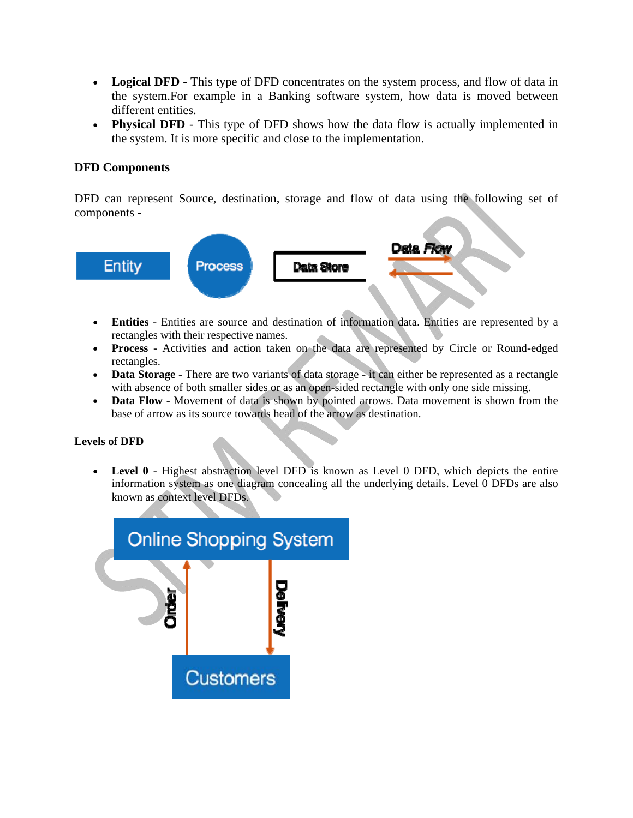- **Logical DFD** This type of DFD concentrates on the system process, and flow of data in the system.For example in a Banking software system, how data is moved between different entities.
- **Physical DFD** This type of DFD shows how the data flow is actually implemented in the system. It is more specific and close to the implementation.

## **DFD Components**

DFD can represent Source, destination, storage and flow of data using the following set of components -



- **Entities** Entities are source and destination of information data. Entities are represented by a rectangles with their respective names.
- **Process** Activities and action taken on the data are represented by Circle or Round-edged rectangles.
- **Data Storage** There are two variants of data storage it can either be represented as a rectangle with absence of both smaller sides or as an open-sided rectangle with only one side missing.
- **Data Flow** Movement of data is shown by pointed arrows. Data movement is shown from the base of arrow as its source towards head of the arrow as destination.

#### **Levels of DFD**

 **Level 0** - Highest abstraction level DFD is known as Level 0 DFD, which depicts the entire information system as one diagram concealing all the underlying details. Level 0 DFDs are also known as context level DFDs.

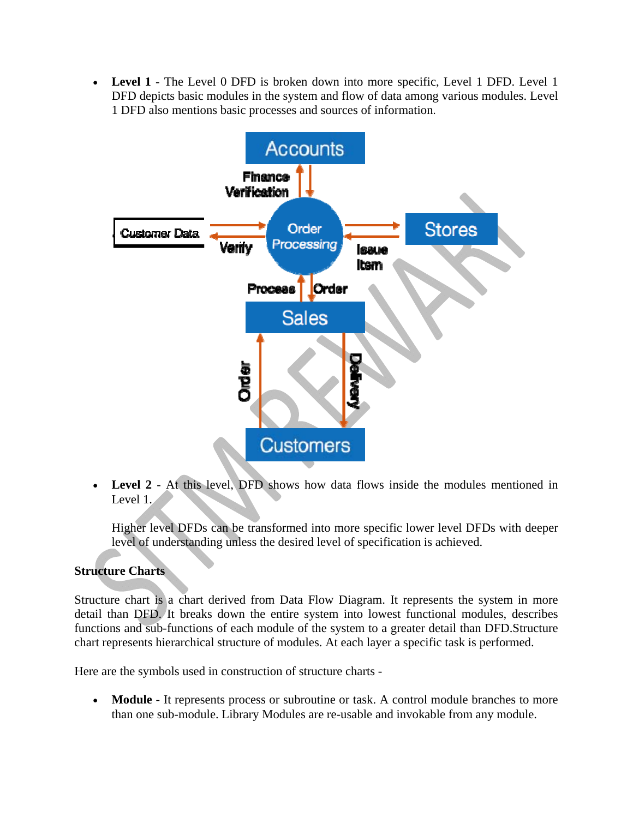**Level 1** - The Level 0 DFD is broken down into more specific, Level 1 DFD. Level 1 DFD depicts basic modules in the system and flow of data among various modules. Level 1 DFD also mentions basic processes and sources of information.



 **Level 2** - At this level, DFD shows how data flows inside the modules mentioned in Level 1.

Higher level DFDs can be transformed into more specific lower level DFDs with deeper level of understanding unless the desired level of specification is achieved.

## **Structure Charts**

Structure chart is a chart derived from Data Flow Diagram. It represents the system in more detail than DFD. It breaks down the entire system into lowest functional modules, describes functions and sub-functions of each module of the system to a greater detail than DFD.Structure chart represents hierarchical structure of modules. At each layer a specific task is performed.

Here are the symbols used in construction of structure charts -

 **Module** - It represents process or subroutine or task. A control module branches to more than one sub-module. Library Modules are re-usable and invokable from any module.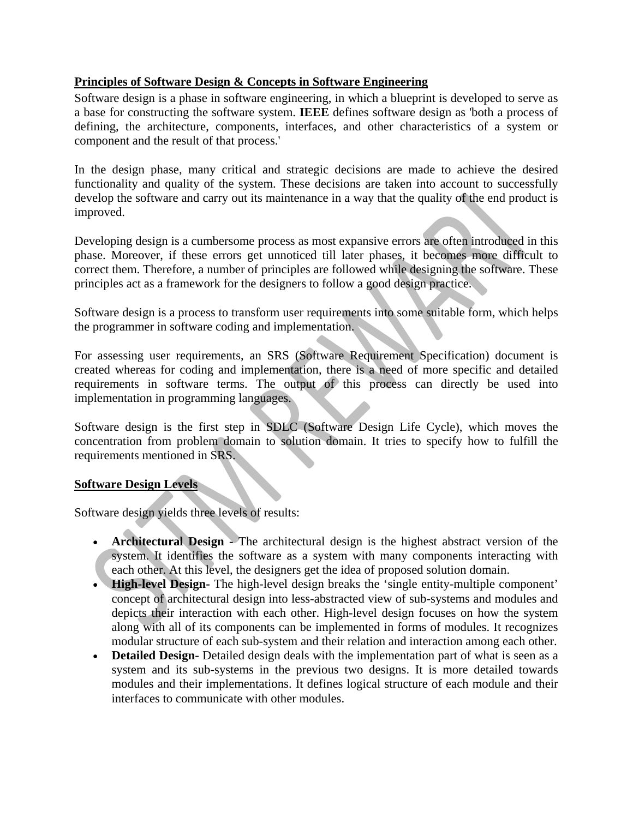## **Principles of Software Design & Concepts in Software Engineering**

Software design is a phase in software engineering, in which a blueprint is developed to serve as a base for constructing the software system. **IEEE** defines software design as 'both a process of defining, the architecture, components, interfaces, and other characteristics of a system or component and the result of that process.'

In the design phase, many critical and strategic decisions are made to achieve the desired functionality and quality of the system. These decisions are taken into account to successfully develop the software and carry out its maintenance in a way that the quality of the end product is improved.

Developing design is a cumbersome process as most expansive errors are often introduced in this phase. Moreover, if these errors get unnoticed till later phases, it becomes more difficult to correct them. Therefore, a number of principles are followed while designing the software. These principles act as a framework for the designers to follow a good design practice.

Software design is a process to transform user requirements into some suitable form, which helps the programmer in software coding and implementation.

For assessing user requirements, an SRS (Software Requirement Specification) document is created whereas for coding and implementation, there is a need of more specific and detailed requirements in software terms. The output of this process can directly be used into implementation in programming languages.

Software design is the first step in SDLC (Software Design Life Cycle), which moves the concentration from problem domain to solution domain. It tries to specify how to fulfill the requirements mentioned in SRS.

## **Software Design Levels**

Software design yields three levels of results:

- **Architectural Design** The architectural design is the highest abstract version of the system. It identifies the software as a system with many components interacting with each other. At this level, the designers get the idea of proposed solution domain.
- **High-level Design-** The high-level design breaks the 'single entity-multiple component' concept of architectural design into less-abstracted view of sub-systems and modules and depicts their interaction with each other. High-level design focuses on how the system along with all of its components can be implemented in forms of modules. It recognizes modular structure of each sub-system and their relation and interaction among each other.
- **Detailed Design-** Detailed design deals with the implementation part of what is seen as a system and its sub-systems in the previous two designs. It is more detailed towards modules and their implementations. It defines logical structure of each module and their interfaces to communicate with other modules.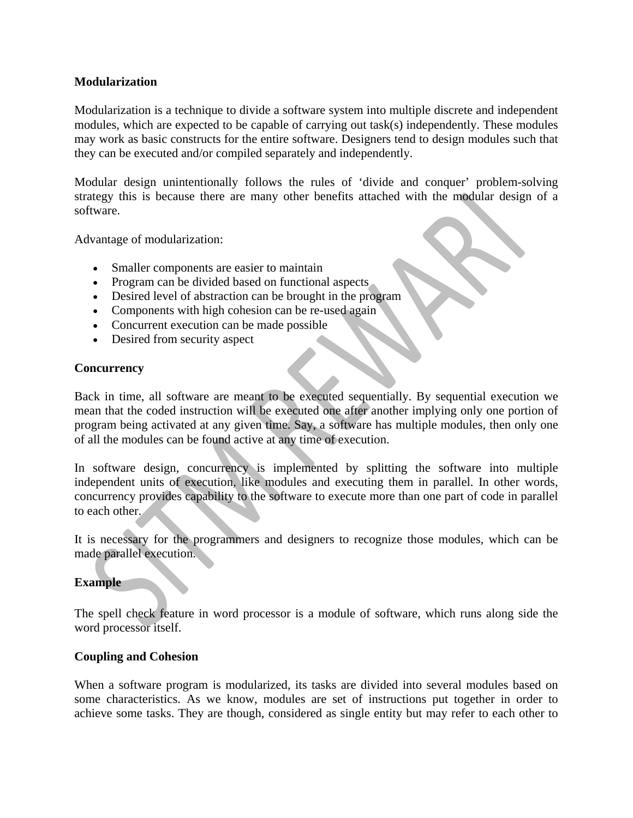#### **Modularization**

Modularization is a technique to divide a software system into multiple discrete and independent modules, which are expected to be capable of carrying out task(s) independently. These modules may work as basic constructs for the entire software. Designers tend to design modules such that they can be executed and/or compiled separately and independently.

Modular design unintentionally follows the rules of 'divide and conquer' problem-solving strategy this is because there are many other benefits attached with the modular design of a software.

Advantage of modularization:

- Smaller components are easier to maintain
- Program can be divided based on functional aspects
- Desired level of abstraction can be brought in the program
- Components with high cohesion can be re-used again
- Concurrent execution can be made possible
- Desired from security aspect

#### **Concurrency**

Back in time, all software are meant to be executed sequentially. By sequential execution we mean that the coded instruction will be executed one after another implying only one portion of program being activated at any given time. Say, a software has multiple modules, then only one of all the modules can be found active at any time of execution.

In software design, concurrency is implemented by splitting the software into multiple independent units of execution, like modules and executing them in parallel. In other words, concurrency provides capability to the software to execute more than one part of code in parallel to each other.

It is necessary for the programmers and designers to recognize those modules, which can be made parallel execution.

#### **Example**

The spell check feature in word processor is a module of software, which runs along side the word processor itself.

#### **Coupling and Cohesion**

When a software program is modularized, its tasks are divided into several modules based on some characteristics. As we know, modules are set of instructions put together in order to achieve some tasks. They are though, considered as single entity but may refer to each other to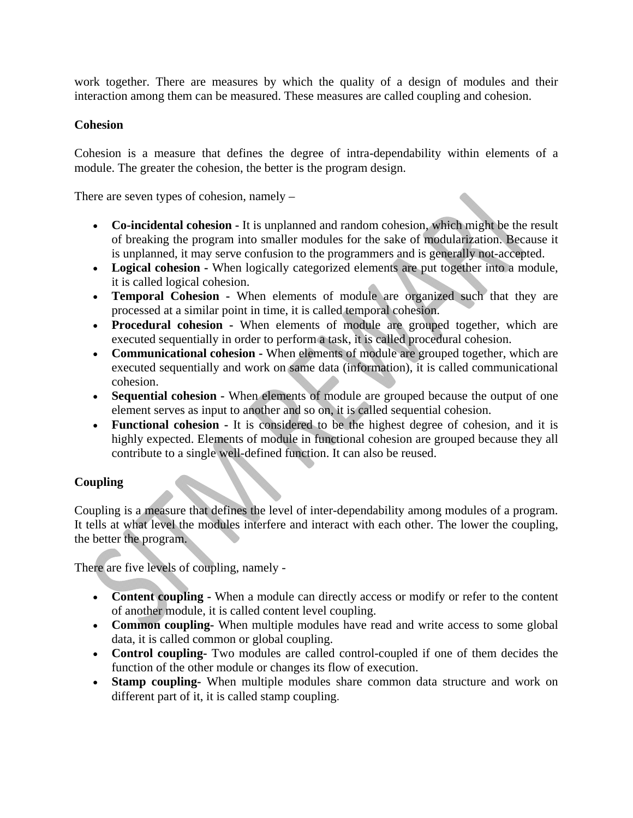work together. There are measures by which the quality of a design of modules and their interaction among them can be measured. These measures are called coupling and cohesion.

## **Cohesion**

Cohesion is a measure that defines the degree of intra-dependability within elements of a module. The greater the cohesion, the better is the program design.

There are seven types of cohesion, namely –

- **Co-incidental cohesion -** It is unplanned and random cohesion, which might be the result of breaking the program into smaller modules for the sake of modularization. Because it is unplanned, it may serve confusion to the programmers and is generally not-accepted.
- **Logical cohesion -** When logically categorized elements are put together into a module, it is called logical cohesion.
- **Temporal Cohesion** When elements of module are organized such that they are processed at a similar point in time, it is called temporal cohesion.
- **Procedural cohesion** When elements of module are grouped together, which are executed sequentially in order to perform a task, it is called procedural cohesion.
- **Communicational cohesion** When elements of module are grouped together, which are executed sequentially and work on same data (information), it is called communicational cohesion.
- **Sequential cohesion** When elements of module are grouped because the output of one element serves as input to another and so on, it is called sequential cohesion.
- **Functional cohesion** It is considered to be the highest degree of cohesion, and it is highly expected. Elements of module in functional cohesion are grouped because they all contribute to a single well-defined function. It can also be reused.

## **Coupling**

Coupling is a measure that defines the level of inter-dependability among modules of a program. It tells at what level the modules interfere and interact with each other. The lower the coupling, the better the program.

There are five levels of coupling, namely -

- **Content coupling -** When a module can directly access or modify or refer to the content of another module, it is called content level coupling.
- **Common coupling-** When multiple modules have read and write access to some global data, it is called common or global coupling.
- **Control coupling-** Two modules are called control-coupled if one of them decides the function of the other module or changes its flow of execution.
- **Stamp coupling-** When multiple modules share common data structure and work on different part of it, it is called stamp coupling.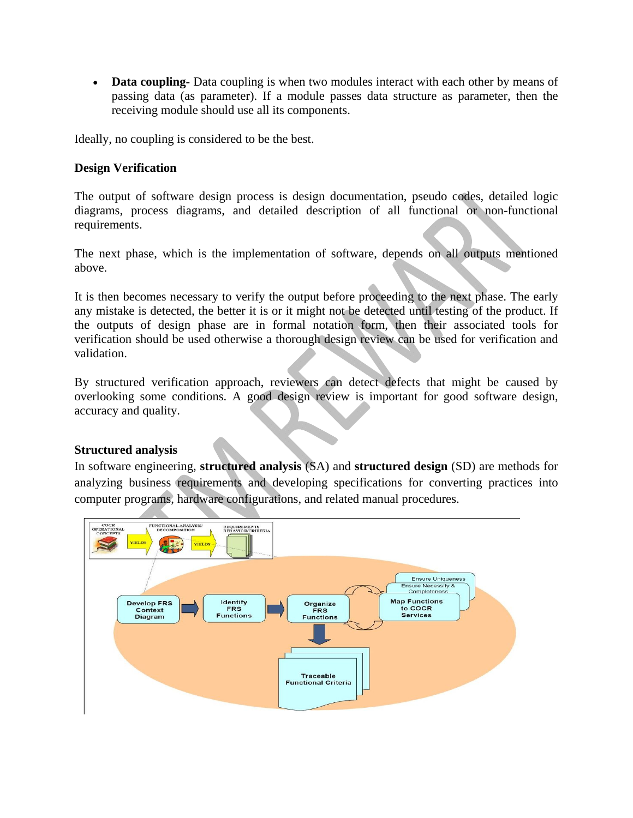• **Data coupling-** Data coupling is when two modules interact with each other by means of passing data (as parameter). If a module passes data structure as parameter, then the receiving module should use all its components.

Ideally, no coupling is considered to be the best.

## **Design Verification**

The output of software design process is design documentation, pseudo codes, detailed logic diagrams, process diagrams, and detailed description of all functional or non-functional requirements.

The next phase, which is the implementation of software, depends on all outputs mentioned above.

It is then becomes necessary to verify the output before proceeding to the next phase. The early any mistake is detected, the better it is or it might not be detected until testing of the product. If the outputs of design phase are in formal notation form, then their associated tools for verification should be used otherwise a thorough design review can be used for verification and validation.

By structured verification approach, reviewers can detect defects that might be caused by overlooking some conditions. A good design review is important for good software design, accuracy and quality.

#### **Structured analysis**

In software engineering, **structured analysis** (SA) and **structured design** (SD) are methods for analyzing business requirements and developing specifications for converting practices into computer programs, hardware configurations, and related manual procedures.

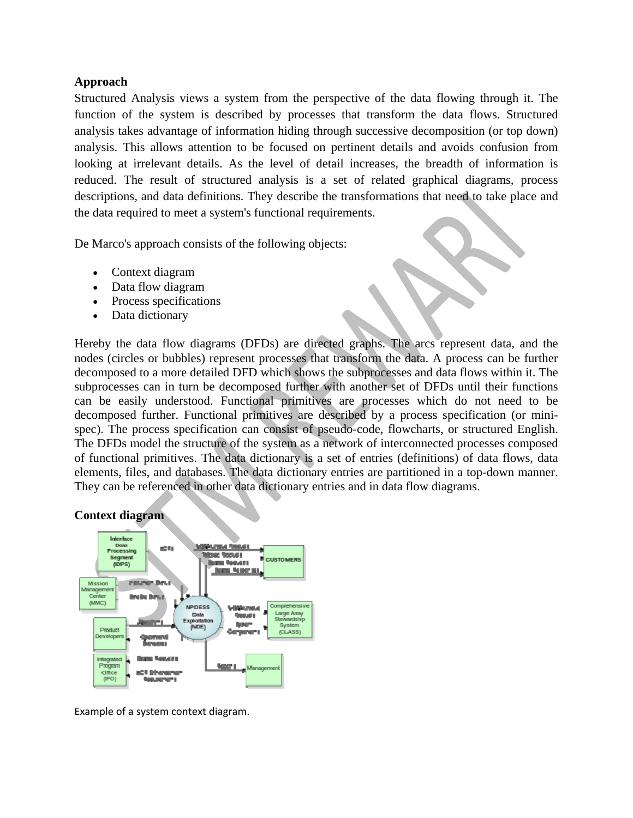## **Approach**

Structured Analysis views a system from the perspective of the data flowing through it. The function of the system is described by processes that transform the data flows. Structured analysis takes advantage of information hiding through successive decomposition (or top down) analysis. This allows attention to be focused on pertinent details and avoids confusion from looking at irrelevant details. As the level of detail increases, the breadth of information is reduced. The result of structured analysis is a set of related graphical diagrams, process descriptions, and data definitions. They describe the transformations that need to take place and the data required to meet a system's functional requirements.

De Marco's approach consists of the following objects:

- Context diagram
- Data flow diagram
- Process specifications
- Data dictionary

Hereby the data flow diagrams (DFDs) are directed graphs. The arcs represent data, and the nodes (circles or bubbles) represent processes that transform the data. A process can be further decomposed to a more detailed DFD which shows the subprocesses and data flows within it. The subprocesses can in turn be decomposed further with another set of DFDs until their functions can be easily understood. Functional primitives are processes which do not need to be decomposed further. Functional primitives are described by a process specification (or minispec). The process specification can consist of pseudo-code, flowcharts, or structured English. The DFDs model the structure of the system as a network of interconnected processes composed of functional primitives. The data dictionary is a set of entries (definitions) of data flows, data elements, files, and databases. The data dictionary entries are partitioned in a top-down manner. They can be referenced in other data dictionary entries and in data flow diagrams.

## **Context diagram**



Example of a system context diagram.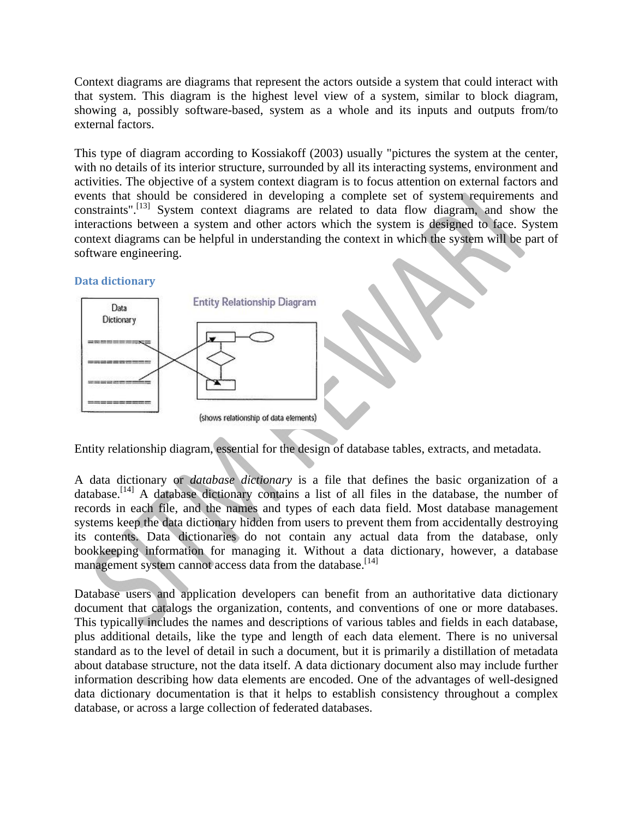Context diagrams are diagrams that represent the actors outside a system that could interact with that system. This diagram is the highest level view of a system, similar to block diagram, showing a, possibly software-based, system as a whole and its inputs and outputs from/to external factors.

This type of diagram according to Kossiakoff (2003) usually "pictures the system at the center, with no details of its interior structure, surrounded by all its interacting systems, environment and activities. The objective of a system context diagram is to focus attention on external factors and events that should be considered in developing a complete set of system requirements and constraints".<sup>[13]</sup> System context diagrams are related to data flow diagram, and show the interactions between a system and other actors which the system is designed to face. System context diagrams can be helpful in understanding the context in which the system will be part of software engineering.

#### **Data dictionary**



Entity relationship diagram, essential for the design of database tables, extracts, and metadata.

A data dictionary or *database dictionary* is a file that defines the basic organization of a database.<sup>[14]</sup> A database dictionary contains a list of all files in the database, the number of records in each file, and the names and types of each data field. Most database management systems keep the data dictionary hidden from users to prevent them from accidentally destroying its contents. Data dictionaries do not contain any actual data from the database, only bookkeeping information for managing it. Without a data dictionary, however, a database management system cannot access data from the database.<sup>[14]</sup>

Database users and application developers can benefit from an authoritative data dictionary document that catalogs the organization, contents, and conventions of one or more databases. This typically includes the names and descriptions of various tables and fields in each database, plus additional details, like the type and length of each data element. There is no universal standard as to the level of detail in such a document, but it is primarily a distillation of metadata about database structure, not the data itself. A data dictionary document also may include further information describing how data elements are encoded. One of the advantages of well-designed data dictionary documentation is that it helps to establish consistency throughout a complex database, or across a large collection of federated databases.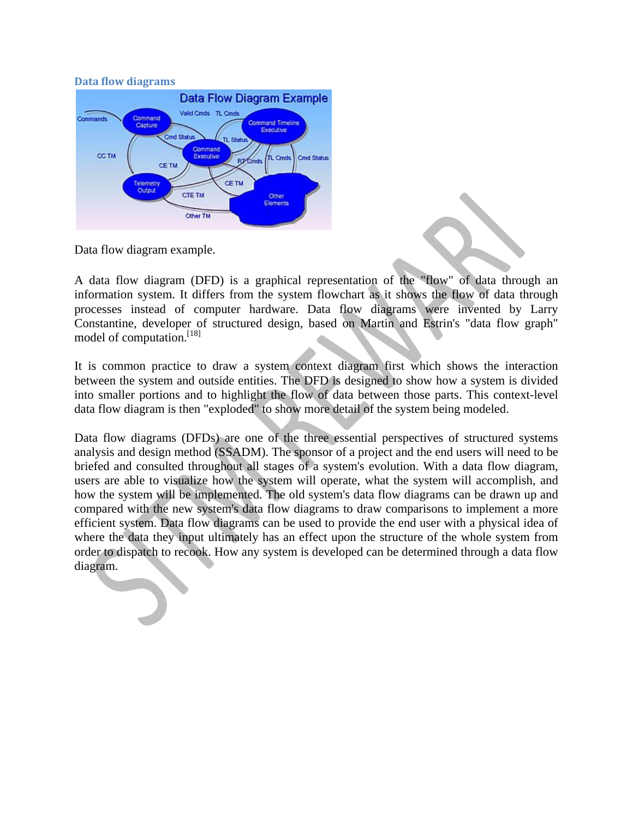#### **Data flow diagrams**



Data flow diagram example.

A data flow diagram (DFD) is a graphical representation of the "flow" of data through an information system. It differs from the system flowchart as it shows the flow of data through processes instead of computer hardware. Data flow diagrams were invented by Larry Constantine, developer of structured design, based on Martin and Estrin's "data flow graph" model of computation.<sup>[18]</sup>

It is common practice to draw a system context diagram first which shows the interaction between the system and outside entities. The DFD is designed to show how a system is divided into smaller portions and to highlight the flow of data between those parts. This context-level data flow diagram is then "exploded" to show more detail of the system being modeled.

Data flow diagrams (DFDs) are one of the three essential perspectives of structured systems analysis and design method (SSADM). The sponsor of a project and the end users will need to be briefed and consulted throughout all stages of a system's evolution. With a data flow diagram, users are able to visualize how the system will operate, what the system will accomplish, and how the system will be implemented. The old system's data flow diagrams can be drawn up and compared with the new system's data flow diagrams to draw comparisons to implement a more efficient system. Data flow diagrams can be used to provide the end user with a physical idea of where the data they input ultimately has an effect upon the structure of the whole system from order to dispatch to recook. How any system is developed can be determined through a data flow diagram.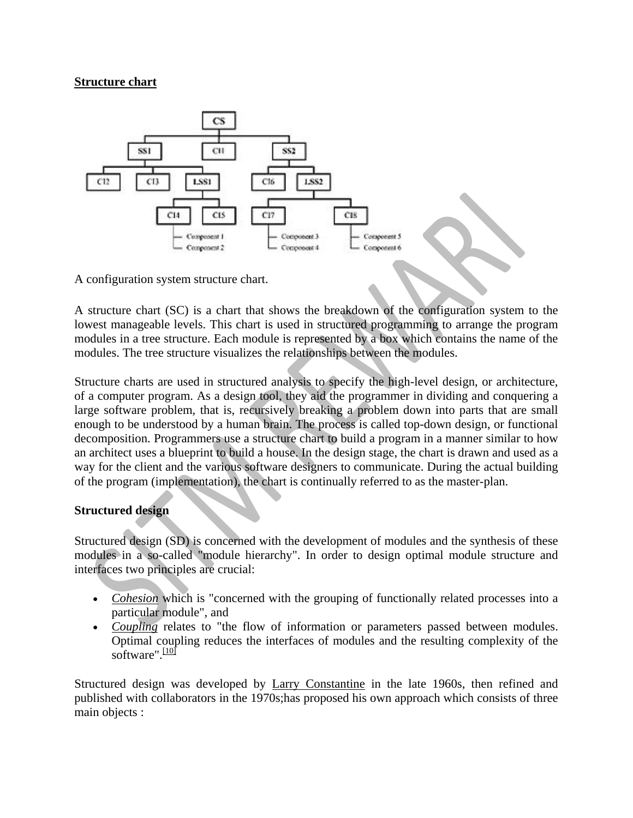## **Structure chart**



A configuration system structure chart.

A structure chart (SC) is a chart that shows the breakdown of the configuration system to the lowest manageable levels. This chart is used in structured programming to arrange the program modules in a tree structure. Each module is represented by a box which contains the name of the modules. The tree structure visualizes the relationships between the modules.

Structure charts are used in structured analysis to specify the high-level design, or architecture, of a computer program. As a design tool, they aid the programmer in dividing and conquering a large software problem, that is, recursively breaking a problem down into parts that are small enough to be understood by a human brain. The process is called top-down design, or functional decomposition. Programmers use a structure chart to build a program in a manner similar to how an architect uses a blueprint to build a house. In the design stage, the chart is drawn and used as a way for the client and the various software designers to communicate. During the actual building of the program (implementation), the chart is continually referred to as the master-plan.

## **Structured design**

Structured design (SD) is concerned with the development of modules and the synthesis of these modules in a so-called "module hierarchy". In order to design optimal module structure and interfaces two principles are crucial:

- *Cohesion* which is "concerned with the grouping of functionally related processes into a particular module", and
- *Coupling* relates to "the flow of information or parameters passed between modules. Optimal coupling reduces the interfaces of modules and the resulting complexity of the software". $\frac{[10]}{[10]}$

Structured design was developed by Larry Constantine in the late 1960s, then refined and published with collaborators in the 1970s;has proposed his own approach which consists of three main objects :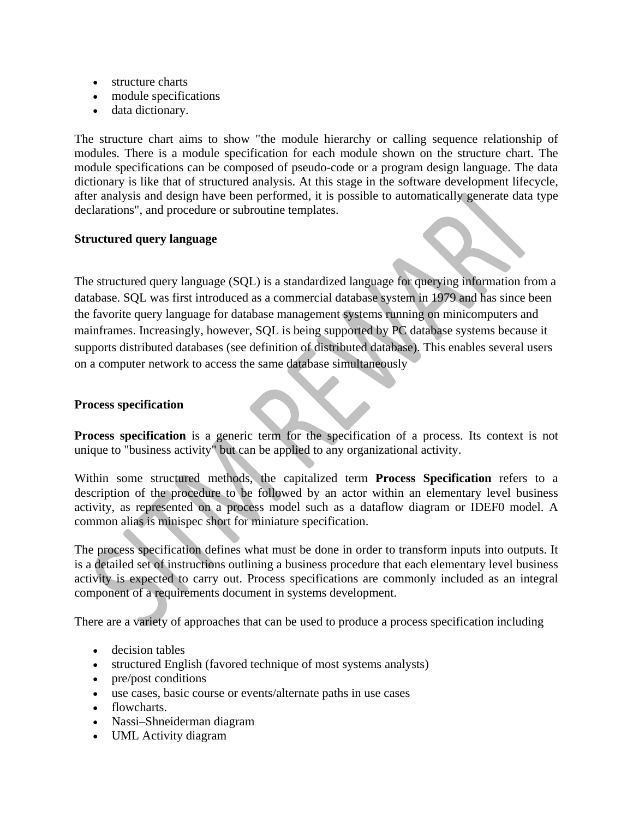- structure charts
- module specifications
- data dictionary.

The structure chart aims to show "the module hierarchy or calling sequence relationship of modules. There is a module specification for each module shown on the structure chart. The module specifications can be composed of pseudo-code or a program design language. The data dictionary is like that of structured analysis. At this stage in the software development lifecycle, after analysis and design have been performed, it is possible to automatically generate data type declarations", and procedure or subroutine templates.

## **Structured query language**

The structured query language (SQL) is a standardized language for querying information from a database. SQL was first introduced as a commercial database system in 1979 and has since been the favorite query language for database management systems running on minicomputers and mainframes. Increasingly, however, SQL is being supported by PC database systems because it supports distributed databases (see definition of distributed database). This enables several users on a computer network to access the same database simultaneously

#### **Process specification**

**Process specification** is a generic term for the specification of a process. Its context is not unique to "business activity" but can be applied to any organizational activity.

Within some structured methods, the capitalized term **Process Specification** refers to a description of the procedure to be followed by an actor within an elementary level business activity, as represented on a process model such as a dataflow diagram or IDEF0 model. A common alias is minispec short for miniature specification.

The process specification defines what must be done in order to transform inputs into outputs. It is a detailed set of instructions outlining a business procedure that each elementary level business activity is expected to carry out. Process specifications are commonly included as an integral component of a requirements document in systems development.

There are a variety of approaches that can be used to produce a process specification including

- decision tables
- structured English (favored technique of most systems analysts)
- pre/post conditions
- use cases, basic course or events/alternate paths in use cases
- flowcharts.
- Nassi–Shneiderman diagram
- UML Activity diagram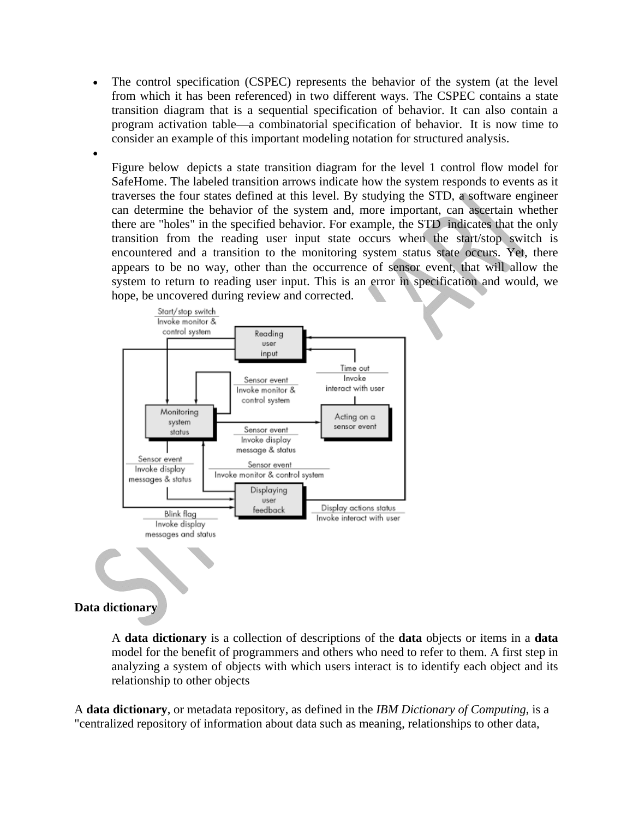The control specification (CSPEC) represents the behavior of the system (at the level from which it has been referenced) in two different ways. The CSPEC contains a state transition diagram that is a sequential specification of behavior. It can also contain a program activation table—a combinatorial specification of behavior. It is now time to consider an example of this important modeling notation for structured analysis.

Figure below depicts a state transition diagram for the level 1 control flow model for SafeHome. The labeled transition arrows indicate how the system responds to events as it traverses the four states defined at this level. By studying the STD, a software engineer can determine the behavior of the system and, more important, can ascertain whether there are "holes" in the specified behavior. For example, the STD indicates that the only transition from the reading user input state occurs when the start/stop switch is encountered and a transition to the monitoring system status state occurs. Yet, there appears to be no way, other than the occurrence of sensor event, that will allow the system to return to reading user input. This is an error in specification and would, we hope, be uncovered during review and corrected.



**Data dictionary** 

 $\bullet$ 

A **data dictionary** is a collection of descriptions of the **data** objects or items in a **data** model for the benefit of programmers and others who need to refer to them. A first step in analyzing a system of objects with which users interact is to identify each object and its relationship to other objects

A **data dictionary**, or metadata repository, as defined in the *IBM Dictionary of Computing*, is a "centralized repository of information about data such as meaning, relationships to other data,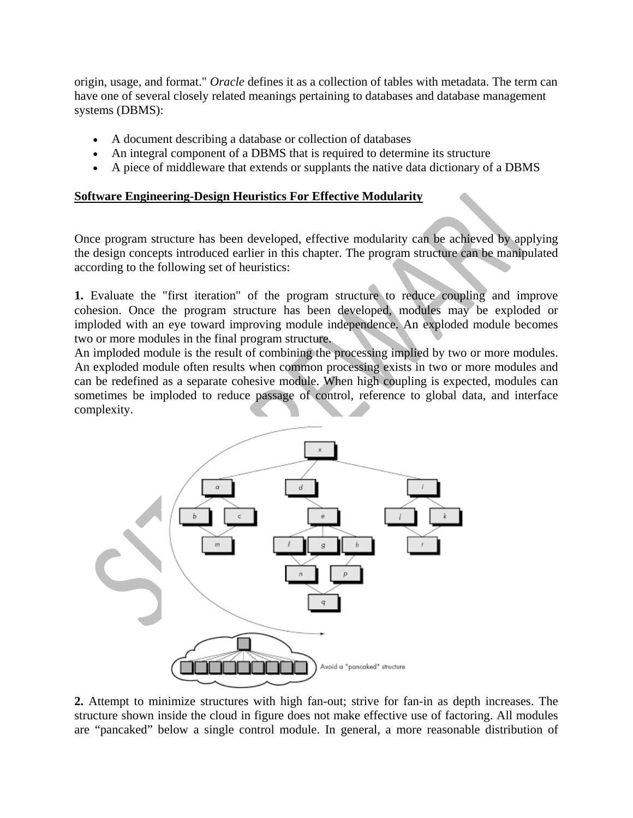origin, usage, and format." *Oracle* defines it as a collection of tables with metadata. The term can have one of several closely related meanings pertaining to databases and database management systems (DBMS):

- A document describing a database or collection of databases
- An integral component of a DBMS that is required to determine its structure
- A piece of middleware that extends or supplants the native data dictionary of a DBMS

#### **Software Engineering-Design Heuristics For Effective Modularity**

Once program structure has been developed, effective modularity can be achieved by applying the design concepts introduced earlier in this chapter. The program structure can be manipulated according to the following set of heuristics:

**1.** Evaluate the "first iteration" of the program structure to reduce coupling and improve cohesion. Once the program structure has been developed, modules may be exploded or imploded with an eye toward improving module independence. An exploded module becomes two or more modules in the final program structure.

An imploded module is the result of combining the processing implied by two or more modules. An exploded module often results when common processing exists in two or more modules and can be redefined as a separate cohesive module. When high coupling is expected, modules can sometimes be imploded to reduce passage of control, reference to global data, and interface complexity.



**2.** Attempt to minimize structures with high fan-out; strive for fan-in as depth increases. The structure shown inside the cloud in figure does not make effective use of factoring. All modules are "pancaked" below a single control module. In general, a more reasonable distribution of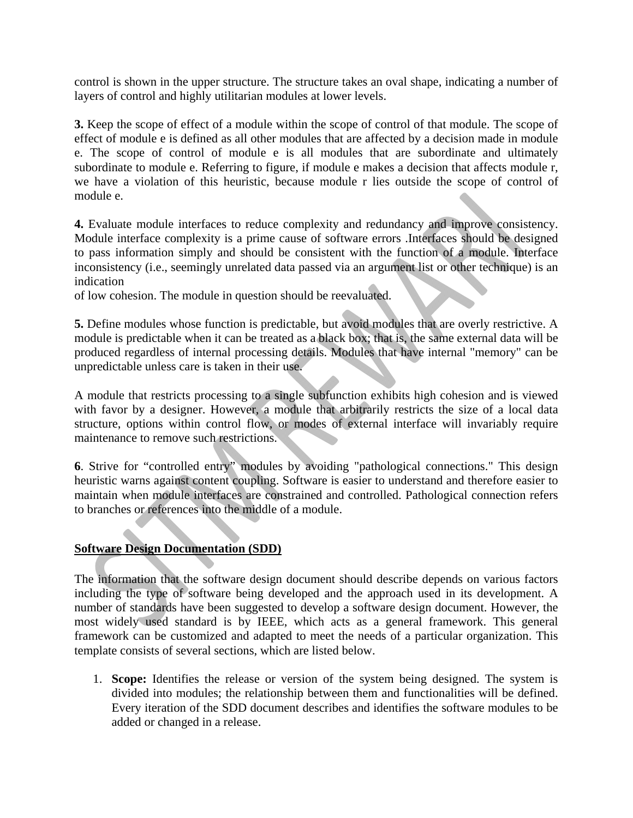control is shown in the upper structure. The structure takes an oval shape, indicating a number of layers of control and highly utilitarian modules at lower levels.

**3.** Keep the scope of effect of a module within the scope of control of that module. The scope of effect of module e is defined as all other modules that are affected by a decision made in module e. The scope of control of module e is all modules that are subordinate and ultimately subordinate to module e. Referring to figure, if module e makes a decision that affects module r, we have a violation of this heuristic, because module r lies outside the scope of control of module e.

**4.** Evaluate module interfaces to reduce complexity and redundancy and improve consistency. Module interface complexity is a prime cause of software errors .Interfaces should be designed to pass information simply and should be consistent with the function of a module. Interface inconsistency (i.e., seemingly unrelated data passed via an argument list or other technique) is an indication

of low cohesion. The module in question should be reevaluated.

**5.** Define modules whose function is predictable, but avoid modules that are overly restrictive. A module is predictable when it can be treated as a black box; that is, the same external data will be produced regardless of internal processing details. Modules that have internal "memory" can be unpredictable unless care is taken in their use.

A module that restricts processing to a single subfunction exhibits high cohesion and is viewed with favor by a designer. However, a module that arbitrarily restricts the size of a local data structure, options within control flow, or modes of external interface will invariably require maintenance to remove such restrictions.

**6**. Strive for "controlled entry" modules by avoiding "pathological connections." This design heuristic warns against content coupling. Software is easier to understand and therefore easier to maintain when module interfaces are constrained and controlled. Pathological connection refers to branches or references into the middle of a module.

## **Software Design Documentation (SDD)**

The information that the software design document should describe depends on various factors including the type of software being developed and the approach used in its development. A number of standards have been suggested to develop a software design document. However, the most widely used standard is by IEEE, which acts as a general framework. This general framework can be customized and adapted to meet the needs of a particular organization. This template consists of several sections, which are listed below.

1. **Scope:** Identifies the release or version of the system being designed. The system is divided into modules; the relationship between them and functionalities will be defined. Every iteration of the SDD document describes and identifies the software modules to be added or changed in a release.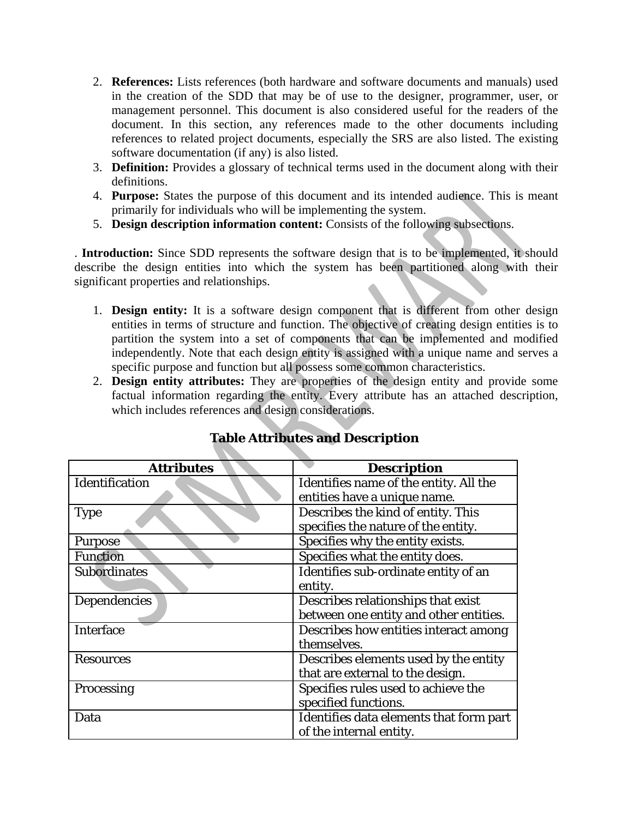- 2. **References:** Lists references (both hardware and software documents and manuals) used in the creation of the SDD that may be of use to the designer, programmer, user, or management personnel. This document is also considered useful for the readers of the document. In this section, any references made to the other documents including references to related project documents, especially the SRS are also listed. The existing software documentation (if any) is also listed.
- 3. **Definition:** Provides a glossary of technical terms used in the document along with their definitions.
- 4. **Purpose:** States the purpose of this document and its intended audience. This is meant primarily for individuals who will be implementing the system.
- 5. **Design description information content:** Consists of the following subsections.

. **Introduction:** Since SDD represents the software design that is to be implemented, it should describe the design entities into which the system has been partitioned along with their significant properties and relationships.

- 1. **Design entity:** It is a software design component that is different from other design entities in terms of structure and function. The objective of creating design entities is to partition the system into a set of components that can be implemented and modified independently. Note that each design entity is assigned with a unique name and serves a specific purpose and function but all possess some common characteristics.
- 2. **Design entity attributes:** They are properties of the design entity and provide some factual information regarding the entity. Every attribute has an attached description, which includes references and design considerations.

| <b>Attributes</b>   | <b>Description</b>                      |  |
|---------------------|-----------------------------------------|--|
| Identification      | Identifies name of the entity. All the  |  |
|                     | entities have a unique name.            |  |
| <b>Type</b>         | Describes the kind of entity. This      |  |
|                     | specifies the nature of the entity.     |  |
| <b>Purpose</b>      | Specifies why the entity exists.        |  |
| <b>Function</b>     | Specifies what the entity does.         |  |
| <b>Subordinates</b> | Identifies sub-ordinate entity of an    |  |
|                     | entity.                                 |  |
| Dependencies        | Describes relationships that exist      |  |
|                     | between one entity and other entities.  |  |
| <b>Interface</b>    | Describes how entities interact among   |  |
|                     | themselves.                             |  |
| <b>Resources</b>    | Describes elements used by the entity   |  |
|                     | that are external to the design.        |  |
| Processing          | Specifies rules used to achieve the     |  |
|                     | specified functions.                    |  |
| Data                | Identifies data elements that form part |  |
|                     | of the internal entity.                 |  |

## **Table Attributes and Description**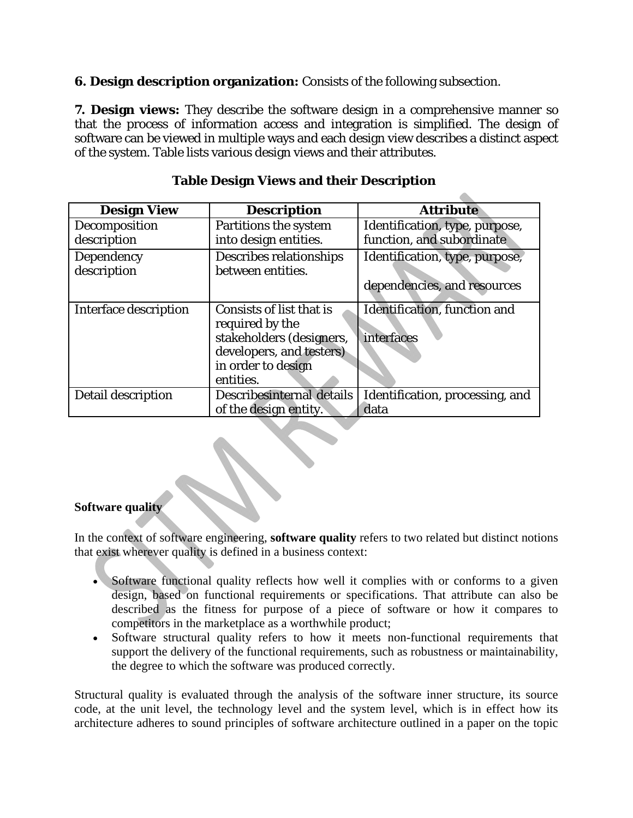**6. Design description organization:** Consists of the following subsection.

**7. Design views:** They describe the software design in a comprehensive manner so that the process of information access and integration is simplified. The design of software can be viewed in multiple ways and each design view describes a distinct aspect of the system. Table lists various design views and their attributes.

dia.

| <b>Design View</b>    | <b>Description</b>        | <b>Attribute</b>                |
|-----------------------|---------------------------|---------------------------------|
| Decomposition         | Partitions the system     | Identification, type, purpose,  |
| description           | into design entities.     | function, and subordinate       |
| Dependency            | Describes relationships   | Identification, type, purpose,  |
| description           | between entities.         |                                 |
|                       |                           | dependencies, and resources     |
| Interface description | Consists of list that is  | Identification, function and    |
|                       | required by the           |                                 |
|                       | stakeholders (designers,  | interfaces                      |
|                       | developers, and testers)  |                                 |
|                       | in order to design        |                                 |
|                       | entities.                 |                                 |
| Detail description    | Describesinternal details | Identification, processing, and |
|                       | of the design entity.     | data                            |

## **Table Design Views and their Description**

## **Software quality**

In the context of software engineering, **software quality** refers to two related but distinct notions that exist wherever quality is defined in a business context:

- Software functional quality reflects how well it complies with or conforms to a given design, based on functional requirements or specifications. That attribute can also be described as the fitness for purpose of a piece of software or how it compares to competitors in the marketplace as a worthwhile product;
- Software structural quality refers to how it meets non-functional requirements that support the delivery of the functional requirements, such as robustness or maintainability, the degree to which the software was produced correctly.

Structural quality is evaluated through the analysis of the software inner structure, its source code, at the unit level, the technology level and the system level, which is in effect how its architecture adheres to sound principles of software architecture outlined in a paper on the topic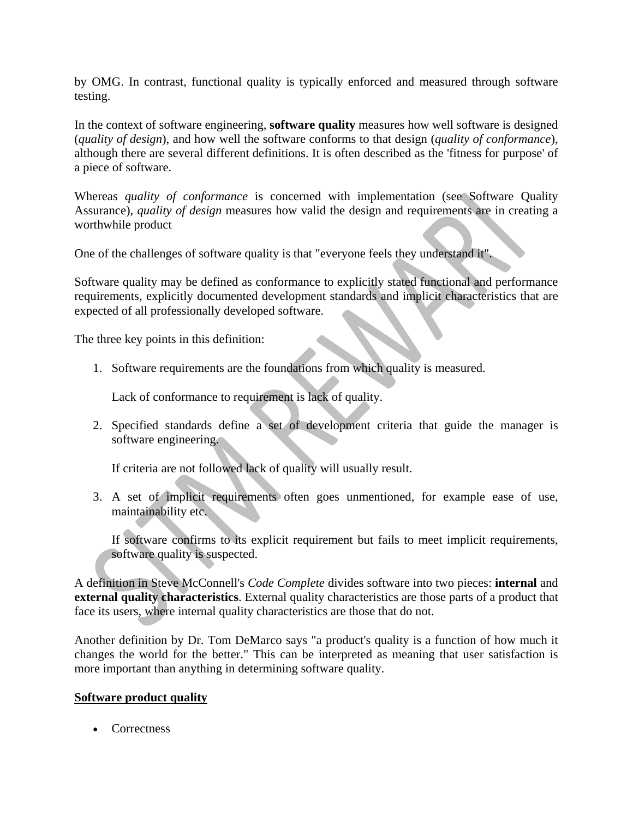by OMG. In contrast, functional quality is typically enforced and measured through software testing.

In the context of software engineering, **software quality** measures how well software is designed (*quality of design*), and how well the software conforms to that design (*quality of conformance*), although there are several different definitions. It is often described as the 'fitness for purpose' of a piece of software.

Whereas *quality of conformance* is concerned with implementation (see Software Quality Assurance), *quality of design* measures how valid the design and requirements are in creating a worthwhile product

One of the challenges of software quality is that "everyone feels they understand it".

Software quality may be defined as conformance to explicitly stated functional and performance requirements, explicitly documented development standards and implicit characteristics that are expected of all professionally developed software.

The three key points in this definition:

1. Software requirements are the foundations from which quality is measured.

Lack of conformance to requirement is lack of quality.

2. Specified standards define a set of development criteria that guide the manager is software engineering.

If criteria are not followed lack of quality will usually result.

3. A set of implicit requirements often goes unmentioned, for example ease of use, maintainability etc.

If software confirms to its explicit requirement but fails to meet implicit requirements, software quality is suspected.

A definition in Steve McConnell's *Code Complete* divides software into two pieces: **internal** and **external quality characteristics**. External quality characteristics are those parts of a product that face its users, where internal quality characteristics are those that do not.

Another definition by Dr. Tom DeMarco says "a product's quality is a function of how much it changes the world for the better." This can be interpreted as meaning that user satisfaction is more important than anything in determining software quality.

## **Software product quality**

• Correctness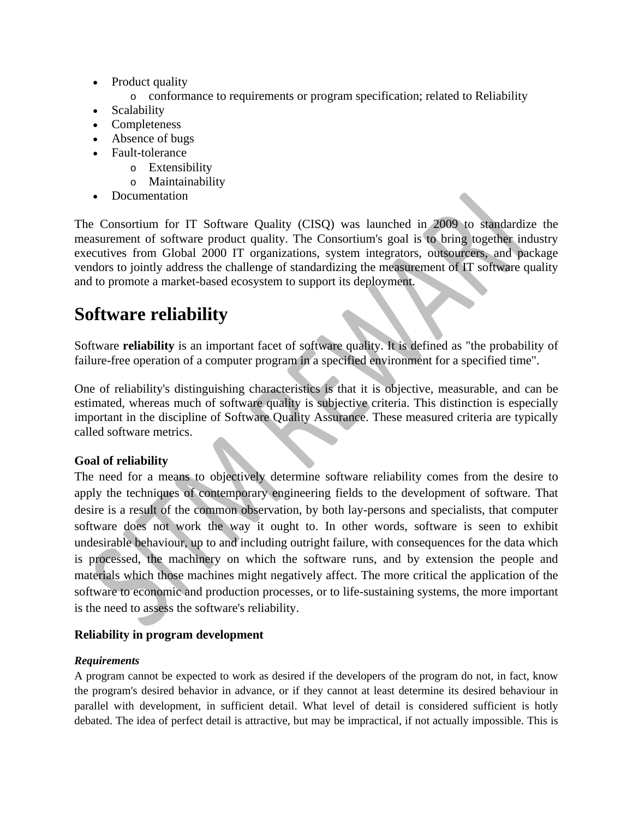- Product quality
	- o conformance to requirements or program specification; related to Reliability
- Scalability
- Completeness
- Absence of bugs
- Fault-tolerance
	- o Extensibility
		- o Maintainability
	- Documentation

The Consortium for IT Software Quality (CISQ) was launched in 2009 to standardize the measurement of software product quality. The Consortium's goal is to bring together industry executives from Global 2000 IT organizations, system integrators, outsourcers, and package vendors to jointly address the challenge of standardizing the measurement of IT software quality and to promote a market-based ecosystem to support its deployment.

# **Software reliability**

Software **reliability** is an important facet of software quality. It is defined as "the probability of failure-free operation of a computer program in a specified environment for a specified time".

One of reliability's distinguishing characteristics is that it is objective, measurable, and can be estimated, whereas much of software quality is subjective criteria. This distinction is especially important in the discipline of Software Quality Assurance. These measured criteria are typically called software metrics.

## **Goal of reliability**

The need for a means to objectively determine software reliability comes from the desire to apply the techniques of contemporary engineering fields to the development of software. That desire is a result of the common observation, by both lay-persons and specialists, that computer software does not work the way it ought to. In other words, software is seen to exhibit undesirable behaviour, up to and including outright failure, with consequences for the data which is processed, the machinery on which the software runs, and by extension the people and materials which those machines might negatively affect. The more critical the application of the software to economic and production processes, or to life-sustaining systems, the more important is the need to assess the software's reliability.

## **Reliability in program development**

#### *Requirements*

A program cannot be expected to work as desired if the developers of the program do not, in fact, know the program's desired behavior in advance, or if they cannot at least determine its desired behaviour in parallel with development, in sufficient detail. What level of detail is considered sufficient is hotly debated. The idea of perfect detail is attractive, but may be impractical, if not actually impossible. This is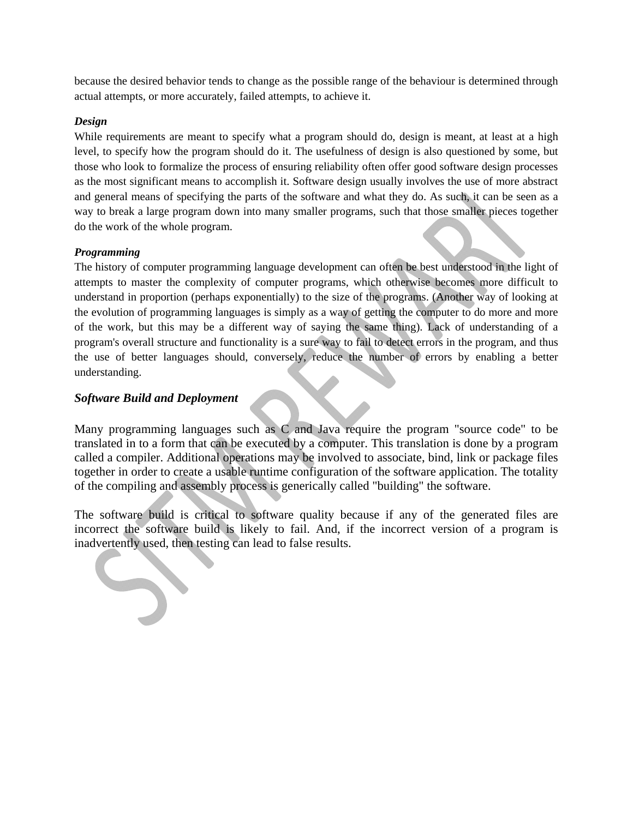because the desired behavior tends to change as the possible range of the behaviour is determined through actual attempts, or more accurately, failed attempts, to achieve it.

#### *Design*

While requirements are meant to specify what a program should do, design is meant, at least at a high level, to specify how the program should do it. The usefulness of design is also questioned by some, but those who look to formalize the process of ensuring reliability often offer good software design processes as the most significant means to accomplish it. Software design usually involves the use of more abstract and general means of specifying the parts of the software and what they do. As such, it can be seen as a way to break a large program down into many smaller programs, such that those smaller pieces together do the work of the whole program.

## *Programming*

The history of computer programming language development can often be best understood in the light of attempts to master the complexity of computer programs, which otherwise becomes more difficult to understand in proportion (perhaps exponentially) to the size of the programs. (Another way of looking at the evolution of programming languages is simply as a way of getting the computer to do more and more of the work, but this may be a different way of saying the same thing). Lack of understanding of a program's overall structure and functionality is a sure way to fail to detect errors in the program, and thus the use of better languages should, conversely, reduce the number of errors by enabling a better understanding.

## *Software Build and Deployment*

Many programming languages such as C and Java require the program "source code" to be translated in to a form that can be executed by a computer. This translation is done by a program called a compiler. Additional operations may be involved to associate, bind, link or package files together in order to create a usable runtime configuration of the software application. The totality of the compiling and assembly process is generically called "building" the software.

The software build is critical to software quality because if any of the generated files are incorrect the software build is likely to fail. And, if the incorrect version of a program is inadvertently used, then testing can lead to false results.